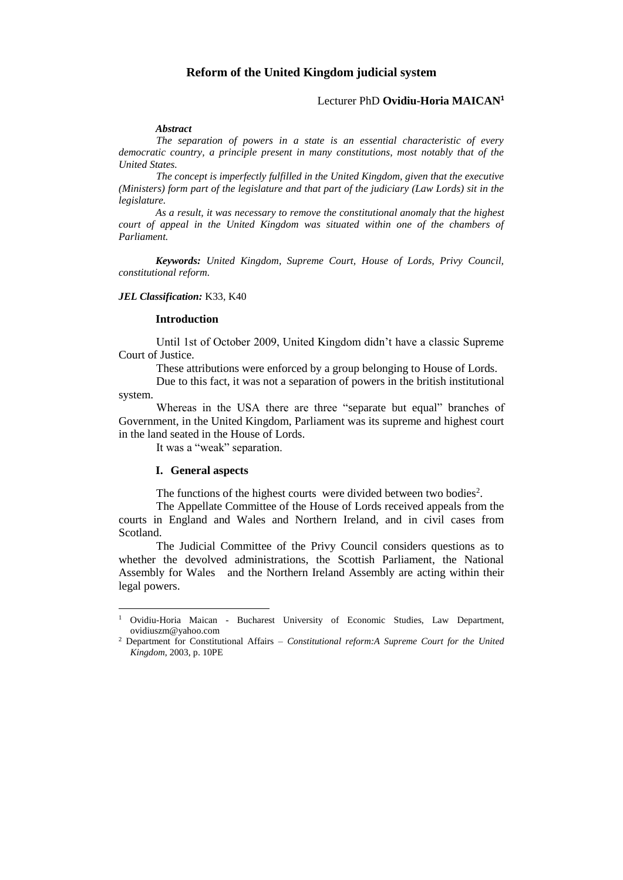# **Reform of the United Kingdom judicial system**

## Lecturer PhD **Ovidiu-Horia MAICAN<sup>1</sup>**

#### *Abstract*

*The separation of powers in a state is an essential characteristic of every democratic country, a principle present in many constitutions, most notably that of the United States.* 

*The concept is imperfectly fulfilled in the United Kingdom, given that the executive (Ministers) form part of the legislature and that part of the judiciary (Law Lords) sit in the legislature.*

*As a result, it was necessary to remove the constitutional anomaly that the highest court of appeal in the United Kingdom was situated within one of the chambers of Parliament.*

*Keywords: United Kingdom, Supreme Court, House of Lords, Privy Council, constitutional reform.*

### *JEL Classification:* K33, K40

#### **Introduction**

Until 1st of October 2009, United Kingdom didn't have a classic Supreme Court of Justice.

These attributions were enforced by a group belonging to House of Lords.

Due to this fact, it was not a separation of powers in the british institutional system.

Whereas in the USA there are three ["separate but equal"](http://www.uscourts.gov/outreach/resources/separationofpowers.html) branches of Government, in the United Kingdom, Parliament was its supreme and highest court in the land seated in the House of Lords.

It was a "weak" separation.

### **I. General aspects**

 $\overline{\phantom{a}}$ 

The functions of the highest courts were divided between two bodies<sup>2</sup>.

The Appellate Committee of the House of Lords received appeals from the courts in England and Wales and Northern Ireland, and in civil cases from Scotland.

The Judicial Committee of the Privy Council considers questions as to whether the devolved administrations, the Scottish Parliament, the National Assembly for Wales and the Northern Ireland Assembly are acting within their legal powers.

<sup>1</sup> Ovidiu-Horia Maican - Bucharest University of Economic Studies, Law Department, ovidiuszm@yahoo.com

<sup>2</sup> Department for Constitutional Affairs *– Constitutional reform:A Supreme Court for the United Kingdom*, 2003, p. 10PE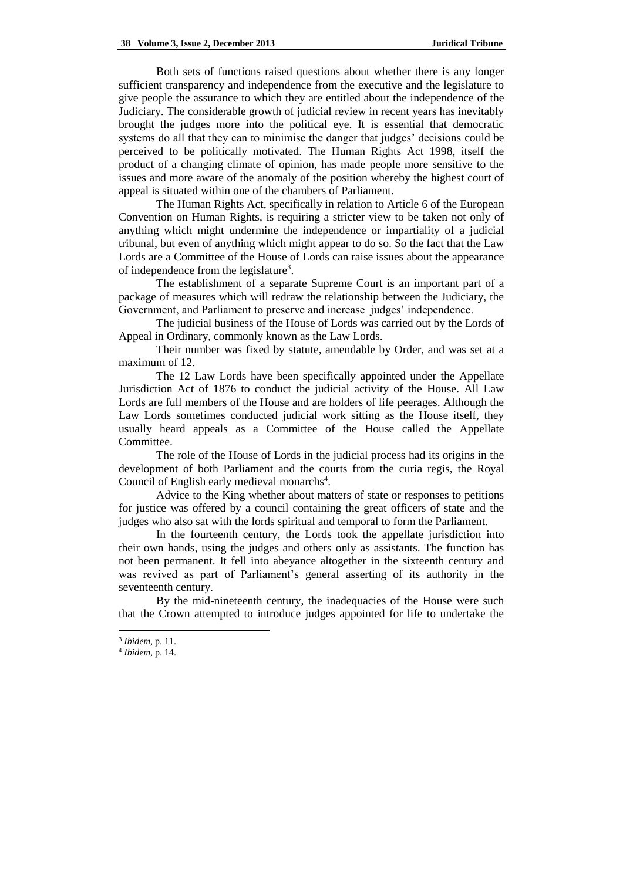Both sets of functions raised questions about whether there is any longer sufficient transparency and independence from the executive and the legislature to give people the assurance to which they are entitled about the independence of the Judiciary. The considerable growth of judicial review in recent years has inevitably brought the judges more into the political eye. It is essential that democratic systems do all that they can to minimise the danger that judges' decisions could be perceived to be politically motivated. The Human Rights Act 1998, itself the product of a changing climate of opinion, has made people more sensitive to the issues and more aware of the anomaly of the position whereby the highest court of appeal is situated within one of the chambers of Parliament.

The Human Rights Act, specifically in relation to Article 6 of the European Convention on Human Rights, is requiring a stricter view to be taken not only of anything which might undermine the independence or impartiality of a judicial tribunal, but even of anything which might appear to do so. So the fact that the Law Lords are a Committee of the House of Lords can raise issues about the appearance of independence from the legislature<sup>3</sup>.

The establishment of a separate Supreme Court is an important part of a package of measures which will redraw the relationship between the Judiciary, the Government, and Parliament to preserve and increase judges' independence.

The judicial business of the House of Lords was carried out by the Lords of Appeal in Ordinary, commonly known as the Law Lords.

Their number was fixed by statute, amendable by Order, and was set at a maximum of 12.

The 12 Law Lords have been specifically appointed under the Appellate Jurisdiction Act of 1876 to conduct the judicial activity of the House. All Law Lords are full members of the House and are holders of life peerages. Although the Law Lords sometimes conducted judicial work sitting as the House itself, they usually heard appeals as a Committee of the House called the Appellate Committee.

The role of the House of Lords in the judicial process had its origins in the development of both Parliament and the courts from the curia regis, the Royal Council of English early medieval monarchs<sup>4</sup>.

Advice to the King whether about matters of state or responses to petitions for justice was offered by a council containing the great officers of state and the judges who also sat with the lords spiritual and temporal to form the Parliament.

In the fourteenth century, the Lords took the appellate jurisdiction into their own hands, using the judges and others only as assistants. The function has not been permanent. It fell into abeyance altogether in the sixteenth century and was revived as part of Parliament's general asserting of its authority in the seventeenth century.

By the mid-nineteenth century, the inadequacies of the House were such that the Crown attempted to introduce judges appointed for life to undertake the

<sup>3</sup> *Ibidem*, p. 11.

<sup>4</sup> *Ibidem*, p. 14.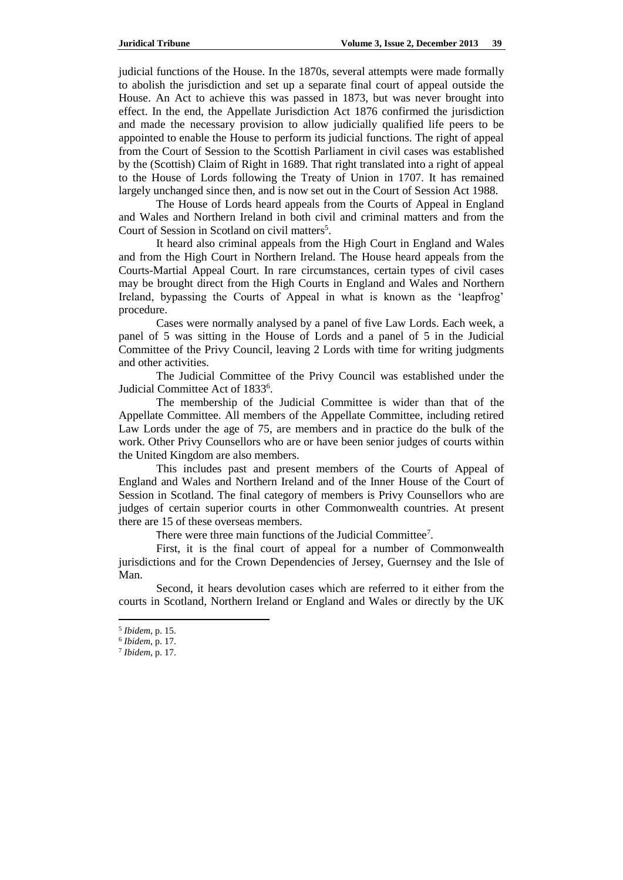judicial functions of the House. In the 1870s, several attempts were made formally to abolish the jurisdiction and set up a separate final court of appeal outside the House. An Act to achieve this was passed in 1873, but was never brought into effect. In the end, the Appellate Jurisdiction Act 1876 confirmed the jurisdiction and made the necessary provision to allow judicially qualified life peers to be appointed to enable the House to perform its judicial functions. The right of appeal from the Court of Session to the Scottish Parliament in civil cases was established by the (Scottish) Claim of Right in 1689. That right translated into a right of appeal to the House of Lords following the Treaty of Union in 1707. It has remained largely unchanged since then, and is now set out in the Court of Session Act 1988.

The House of Lords heard appeals from the Courts of Appeal in England and Wales and Northern Ireland in both civil and criminal matters and from the Court of Session in Scotland on civil matters<sup>5</sup>.

It heard also criminal appeals from the High Court in England and Wales and from the High Court in Northern Ireland. The House heard appeals from the Courts-Martial Appeal Court. In rare circumstances, certain types of civil cases may be brought direct from the High Courts in England and Wales and Northern Ireland, bypassing the Courts of Appeal in what is known as the 'leapfrog' procedure.

Cases were normally analysed by a panel of five Law Lords. Each week, a panel of 5 was sitting in the House of Lords and a panel of 5 in the Judicial Committee of the Privy Council, leaving 2 Lords with time for writing judgments and other activities.

The Judicial Committee of the Privy Council was established under the Judicial Committee Act of 1833<sup>6</sup>.

The membership of the Judicial Committee is wider than that of the Appellate Committee. All members of the Appellate Committee, including retired Law Lords under the age of 75, are members and in practice do the bulk of the work. Other Privy Counsellors who are or have been senior judges of courts within the United Kingdom are also members.

This includes past and present members of the Courts of Appeal of England and Wales and Northern Ireland and of the Inner House of the Court of Session in Scotland. The final category of members is Privy Counsellors who are judges of certain superior courts in other Commonwealth countries. At present there are 15 of these overseas members.

There were three main functions of the Judicial Committee<sup>7</sup>.

First, it is the final court of appeal for a number of Commonwealth jurisdictions and for the Crown Dependencies of Jersey, Guernsey and the Isle of Man.

Second, it hears devolution cases which are referred to it either from the courts in Scotland, Northern Ireland or England and Wales or directly by the UK

 $\overline{a}$ 

<sup>5</sup> *Ibidem*, p. 15.

<sup>6</sup> *Ibidem*, p. 17.

<sup>7</sup> *Ibidem*, p. 17.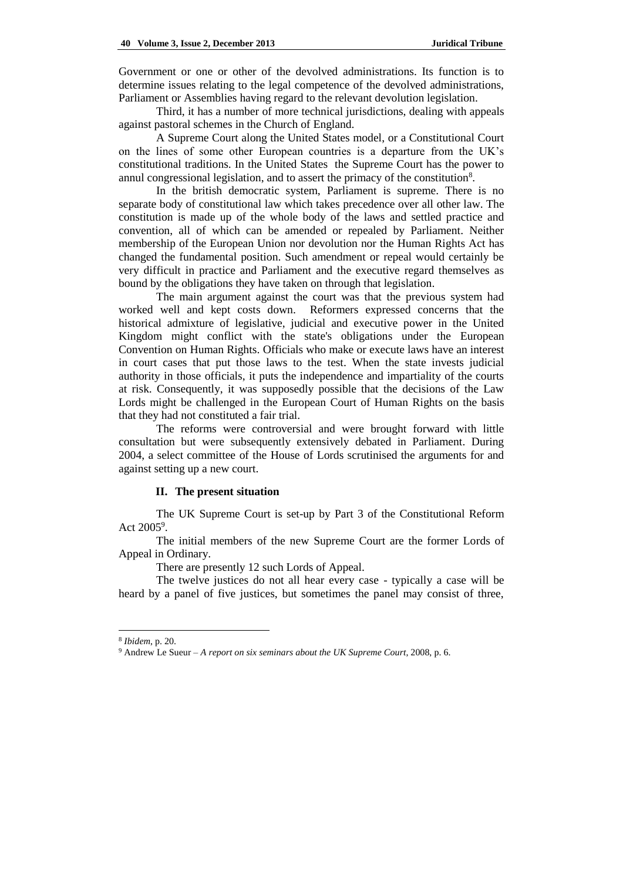Government or one or other of the devolved administrations. Its function is to determine issues relating to the legal competence of the devolved administrations, Parliament or Assemblies having regard to the relevant devolution legislation.

Third, it has a number of more technical jurisdictions, dealing with appeals against pastoral schemes in the Church of England.

A Supreme Court along the United States model, or a Constitutional Court on the lines of some other European countries is a departure from the UK's constitutional traditions. In the United States the Supreme Court has the power to annul congressional legislation, and to assert the primacy of the constitution<sup>8</sup>.

In the british democratic system, Parliament is supreme. There is no separate body of constitutional law which takes precedence over all other law. The constitution is made up of the whole body of the laws and settled practice and convention, all of which can be amended or repealed by Parliament. Neither membership of the European Union nor devolution nor the Human Rights Act has changed the fundamental position. Such amendment or repeal would certainly be very difficult in practice and Parliament and the executive regard themselves as bound by the obligations they have taken on through that legislation.

The main argument against the court was that the previous system had worked well and kept costs down. Reformers expressed concerns that the historical admixture of legislative, judicial and executive power in the United Kingdom might conflict with the state's obligations under the [European](file://en/European_Convention_on_Human_Rights)  [Convention on Human Rights.](file://en/European_Convention_on_Human_Rights) Officials who make or execute laws have an interest in court cases that put those laws to the test. When the state invests judicial authority in those officials, it puts the independence and impartiality of the courts at risk. Consequently, it was supposedly possible that the decisions of the Law Lords might be challenged in the [European Court of Human Rights](file://en/European_Court_of_Human_Rights) on the basis that they had not constituted a fair trial.

The reforms were controversial and were brought forward with little consultation but were subsequently extensively debated in Parliament. During 2004, a select committee of the House of Lords scrutinised the arguments for and against setting up a new court.

### **II. The present situation**

The UK Supreme Court is set-up by Part 3 of the Constitutional Reform Act  $2005^\circ$ .

The initial members of the new Supreme Court are the former Lords of Appeal in Ordinary.

There are presently 12 such Lords of Appeal.

The twelve justices do not all hear every case - typically a case will be heard by a panel of five justices, but sometimes the panel may consist of three,

<sup>8</sup> *Ibidem*, p. 20.

<sup>9</sup> Andrew Le Sueur – *A report on six seminars about the UK Supreme Court*, 2008, p. 6.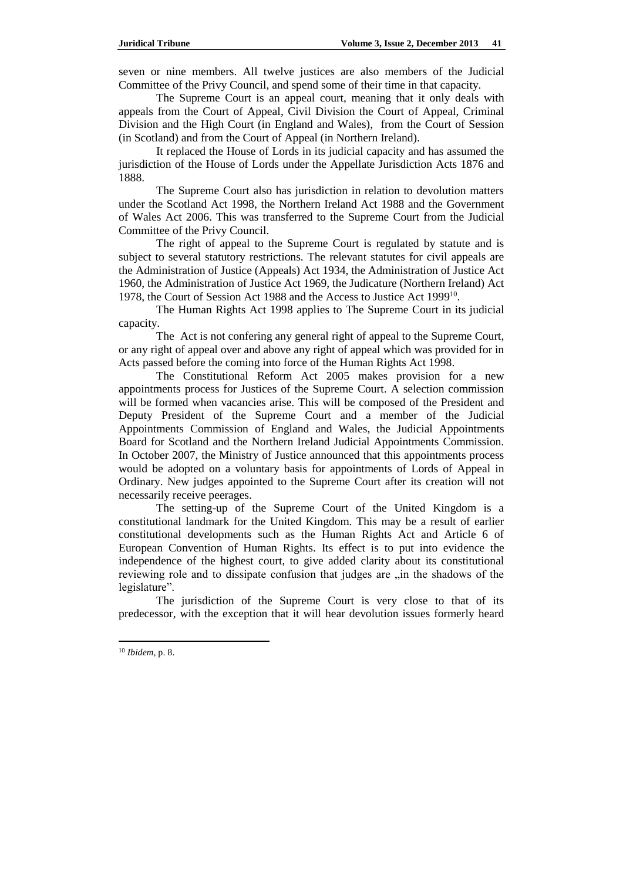seven or nine members. All twelve justices are also members of the Judicial Committee of the Privy Council, and spend some of their time in that capacity.

The Supreme Court is an appeal court, meaning that it only deals with appeals from the Court of Appeal, Civil Division the Court of Appeal, Criminal Division and the High Court (in England and Wales), from the Court of Session (in Scotland) and from the Court of Appeal (in Northern Ireland).

It replaced the House of Lords in its judicial capacity and has assumed the jurisdiction of the House of Lords under the Appellate Jurisdiction Acts 1876 and 1888.

The Supreme Court also has jurisdiction in relation to devolution matters under the Scotland Act 1998, the Northern Ireland Act 1988 and the Government of Wales Act 2006. This was transferred to the Supreme Court from the Judicial Committee of the Privy Council.

The right of appeal to the Supreme Court is regulated by statute and is subject to several statutory restrictions. The relevant statutes for civil appeals are the Administration of Justice (Appeals) Act 1934, the Administration of Justice Act 1960, the Administration of Justice Act 1969, the Judicature (Northern Ireland) Act 1978, the Court of Session Act 1988 and the Access to Justice Act 1999<sup>10</sup>.

The Human Rights Act 1998 applies to The Supreme Court in its judicial capacity.

The Act is not confering any general right of appeal to the Supreme Court, or any right of appeal over and above any right of appeal which was provided for in Acts passed before the coming into force of the Human Rights Act 1998.

The [Constitutional Reform Act 2005](file://en/Constitutional_Reform_Act_2005) makes provision for a new appointments process for Justices of the Supreme Court. A selection commission will be formed when vacancies arise. This will be composed of the President and Deputy President of the Supreme Court and a member of the [Judicial](file://en/Judicial_Appointments_Commission)  [Appointments Commission](file://en/Judicial_Appointments_Commission) of England and Wales, the [Judicial Appointments](file://en/Judicial_Appointments_Board_for_Scotland)  [Board for Scotland](file://en/Judicial_Appointments_Board_for_Scotland) and the Northern Ireland Judicial Appointments Commission. In October 2007, the Ministry of Justice announced that this appointments process would be adopted on a voluntary basis for appointments of [Lords of Appeal in](file://en/Lords_of_Appeal_in_Ordinary)  [Ordinary.](file://en/Lords_of_Appeal_in_Ordinary) New judges appointed to the Supreme Court after its creation will not necessarily receive peerages.

The setting-up of the Supreme Court of the United Kingdom is a constitutional landmark for the United Kingdom. This may be a result of earlier constitutional developments such as the Human Rights Act and Article 6 of European Convention of Human Rights. Its effect is to put into evidence the independence of the highest court, to give added clarity about its constitutional reviewing role and to dissipate confusion that judges are  $\sin$  the shadows of the legislature".

The jurisdiction of the Supreme Court is very close to that of its predecessor, with the exception that it will hear devolution issues formerly heard

<sup>10</sup> *Ibidem*, p. 8.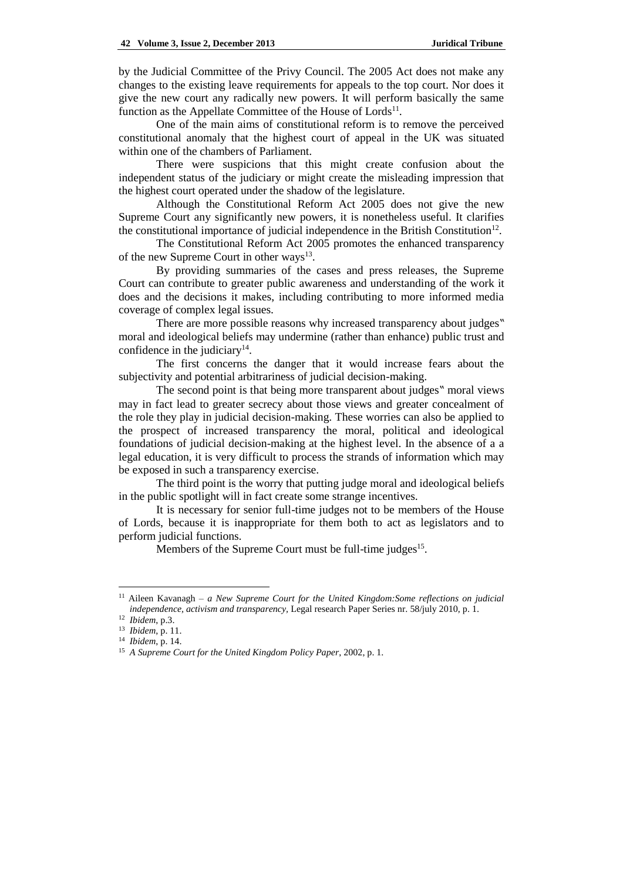by the Judicial Committee of the Privy Council. The 2005 Act does not make any changes to the existing leave requirements for appeals to the top court. Nor does it give the new court any radically new powers. It will perform basically the same function as the Appellate Committee of the House of Lords<sup>11</sup>.

One of the main aims of constitutional reform is to remove the perceived constitutional anomaly that the highest court of appeal in the UK was situated within one of the chambers of Parliament.

There were suspicions that this might create confusion about the independent status of the judiciary or might create the misleading impression that the highest court operated under the shadow of the legislature.

Although the Constitutional Reform Act 2005 does not give the new Supreme Court any significantly new powers, it is nonetheless useful. It clarifies the constitutional importance of judicial independence in the British Constitution<sup>12</sup>.

The Constitutional Reform Act 2005 promotes the enhanced transparency of the new Supreme Court in other ways<sup>13</sup>.

By providing summaries of the cases and press releases, the Supreme Court can contribute to greater public awareness and understanding of the work it does and the decisions it makes, including contributing to more informed media coverage of complex legal issues.

There are more possible reasons why increased transparency about judges" moral and ideological beliefs may undermine (rather than enhance) public trust and confidence in the judiciary $14$ .

The first concerns the danger that it would increase fears about the subjectivity and potential arbitrariness of judicial decision-making.

The second point is that being more transparent about judges" moral views may in fact lead to greater secrecy about those views and greater concealment of the role they play in judicial decision-making. These worries can also be applied to the prospect of increased transparency the moral, political and ideological foundations of judicial decision-making at the highest level. In the absence of a a legal education, it is very difficult to process the strands of information which may be exposed in such a transparency exercise.

The third point is the worry that putting judge moral and ideological beliefs in the public spotlight will in fact create some strange incentives.

It is necessary for senior full-time judges not to be members of the House of Lords, because it is inappropriate for them both to act as legislators and to perform judicial functions.

Members of the Supreme Court must be full-time judges<sup>15</sup>.

 $\overline{a}$ 

<sup>11</sup> Aileen Kavanagh *– a New Supreme Court for the United Kingdom:Some reflections on judicial independence, activism and transparency,* Legal research Paper Series nr. 58/july 2010, p. 1.

<sup>12</sup> *Ibidem*, p.3.

<sup>13</sup> *Ibidem*, p. 11.

<sup>14</sup> *Ibidem*, p. 14.

<sup>15</sup> *A Supreme Court for the United Kingdom Policy Paper*, 2002, p. 1.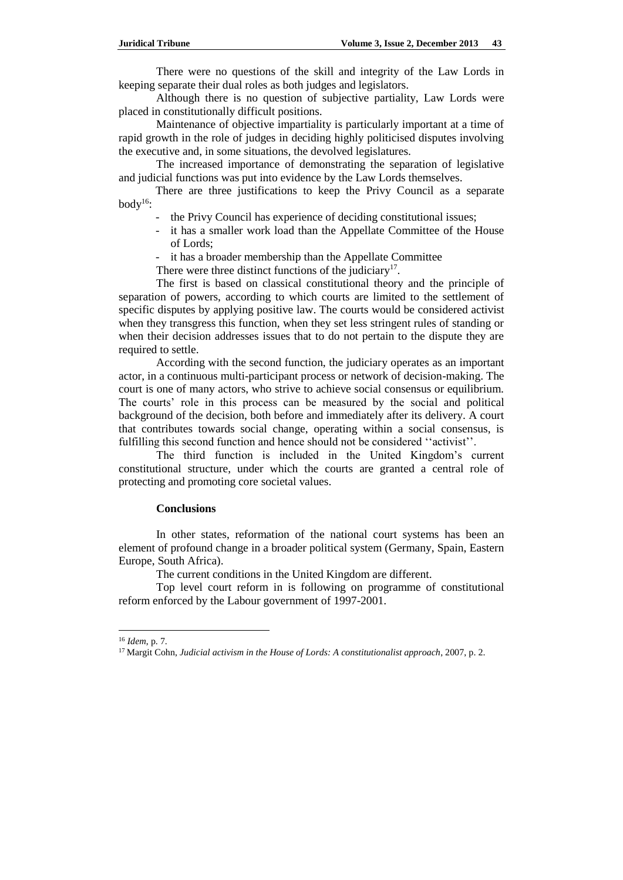There were no questions of the skill and integrity of the Law Lords in keeping separate their dual roles as both judges and legislators.

Although there is no question of subjective partiality, Law Lords were placed in constitutionally difficult positions.

Maintenance of objective impartiality is particularly important at a time of rapid growth in the role of judges in deciding highly politicised disputes involving the executive and, in some situations, the devolved legislatures.

The increased importance of demonstrating the separation of legislative and judicial functions was put into evidence by the Law Lords themselves.

There are three justifications to keep the Privy Council as a separate  $body<sup>16</sup>$ :

- the Privy Council has experience of deciding constitutional issues;
- it has a smaller work load than the Appellate Committee of the House of Lords;
- it has a broader membership than the Appellate Committee
- There were three distinct functions of the judiciary<sup>17</sup>.

The first is based on classical constitutional theory and the principle of separation of powers, according to which courts are limited to the settlement of specific disputes by applying positive law. The courts would be considered activist when they transgress this function, when they set less stringent rules of standing or when their decision addresses issues that to do not pertain to the dispute they are required to settle.

According with the second function, the judiciary operates as an important actor, in a continuous multi-participant process or network of decision-making. The court is one of many actors, who strive to achieve social consensus or equilibrium. The courts' role in this process can be measured by the social and political background of the decision, both before and immediately after its delivery. A court that contributes towards social change, operating within a social consensus, is fulfilling this second function and hence should not be considered ''activist''.

The third function is included in the United Kingdom's current constitutional structure, under which the courts are granted a central role of protecting and promoting core societal values.

# **Conclusions**

In other states, reformation of the national court systems has been an element of profound change in a broader political system (Germany, Spain, Eastern Europe, South Africa).

The current conditions in the United Kingdom are different.

Top level court reform in is following on programme of constitutional reform enforced by the Labour government of 1997-2001.

<sup>16</sup> *Idem*, p. 7.

<sup>17</sup> Margit Cohn, *Judicial activism in the House of Lords: A constitutionalist approach*, 2007, p. 2.